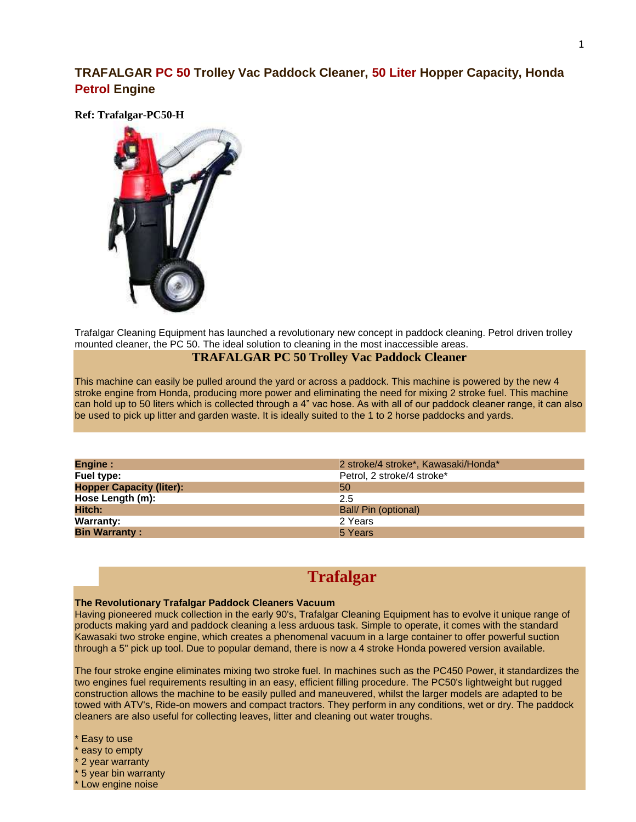## **TRAFALGAR PC 50 Trolley Vac Paddock Cleaner, 50 Liter Hopper Capacity, Honda Petrol Engine**

**Ref: Trafalgar-PC50-H**



Trafalgar Cleaning Equipment has launched a revolutionary new concept in paddock cleaning. Petrol driven trolley mounted cleaner, the PC 50. The ideal solution to cleaning in the most inaccessible areas.

## **TRAFALGAR PC 50 Trolley Vac Paddock Cleaner**

This machine can easily be pulled around the yard or across a paddock. This machine is powered by the new 4 stroke engine from Honda, producing more power and eliminating the need for mixing 2 stroke fuel. This machine can hold up to 50 liters which is collected through a 4" vac hose. As with all of our paddock cleaner range, it can also be used to pick up litter and garden waste. It is ideally suited to the 1 to 2 horse paddocks and yards.

| <b>Engine:</b>                  | 2 stroke/4 stroke*, Kawasaki/Honda* |
|---------------------------------|-------------------------------------|
| Fuel type:                      | Petrol, 2 stroke/4 stroke*          |
| <b>Hopper Capacity (liter):</b> | 50                                  |
| Hose Length (m):                | 2.5                                 |
| Hitch:                          | Ball/ Pin (optional)                |
| <b>Warranty:</b>                | 2 Years                             |
| <b>Bin Warranty:</b>            | 5 Years                             |

## **Trafalgar**

## **The Revolutionary Trafalgar Paddock Cleaners Vacuum**

Having pioneered muck collection in the early 90's, Trafalgar Cleaning Equipment has to evolve it unique range of products making yard and paddock cleaning a less arduous task. Simple to operate, it comes with the standard Kawasaki two stroke engine, which creates a phenomenal vacuum in a large container to offer powerful suction through a 5" pick up tool. Due to popular demand, there is now a 4 stroke Honda powered version available.

The four stroke engine eliminates mixing two stroke fuel. In machines such as the PC450 Power, it standardizes the two engines fuel requirements resulting in an easy, efficient filling procedure. The PC50's lightweight but rugged construction allows the machine to be easily pulled and maneuvered, whilst the larger models are adapted to be towed with ATV's, Ride-on mowers and compact tractors. They perform in any conditions, wet or dry. The paddock cleaners are also useful for collecting leaves, litter and cleaning out water troughs.

Easy to use

easy to empty

2 year warranty

5 year bin warranty

\* Low engine noise